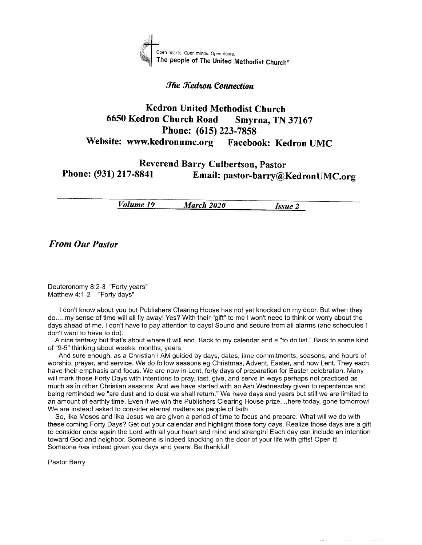

#### The Kedron Connection

# Kedron United Methodist Church <sup>6650</sup>Kedron Church Road Smyrna, TN <sup>37167</sup> Phone: (615) 223-7858 Website: www.kedronumc.org Facebook: Kedron UMC

# Reverend Barry Culbertson, Pastor Phone: (931) 217-8841 Email: pastor-barry@KedronUMC.org

**Volume 19** March 2020 **Issue 2** 

**From Our Pastor** 

Deuteronomy 8:2-3 "Forty years" Matthew  $4:1-2$  "Forty days"

I don't know about you but Publishers Clearing House has not yet knocked on my door. But when they do.....my sense of time will all fly away! Yes? With their "gift" to me I won't need to think or worry about the days ahead of me. I don't have to pay attention to days! Sound and secure from all alarms (and schedules <sup>I</sup> don't want to have to do).

A nice fantasy but that's about where it will end. Back to my calendar and a "to do list." Back to sorne kind of "9-5" thinking about weeks, months, years.

And sure enough, as a Christian i AM guided by days, dates, time commitments, seasons, and hours of worship, prayer, and service. We do follow seasons eg Christmas, Advent, Easter, and now Lent. They each have their emphasis and focus. We are now in Lent, forty days of preparation for Easter celebration. Many will mark those Forty Days with intentions to pray, fasi, give, and serve in ways perhaps not practiced as much as in other Christian seasons. And we have started with an Ash Wednesday given to repentance and being reminded we "are dust and to dust we shall return." We have days and years but still we are limited to an amount of earthly time. Even if we win the Publishers Clearing House prize....here today, gone tomorrowl We are instead asked to consider eternal matters as people of faith.

So, iike Moses and like Jesus we are given a period of time to focus and prepare. What will we do with these coming Forty Days? Get out your calendar and highlight those forty days. Realize those days are a gift to consider once again the Lord with all your heart and rnind and strength! Each day can include an intention toward God and neighbor. Someone is indeed knocking on the door of your life with gifts! Open it! Someone has indeed given you days and years. Be thankful!

Pastor Barry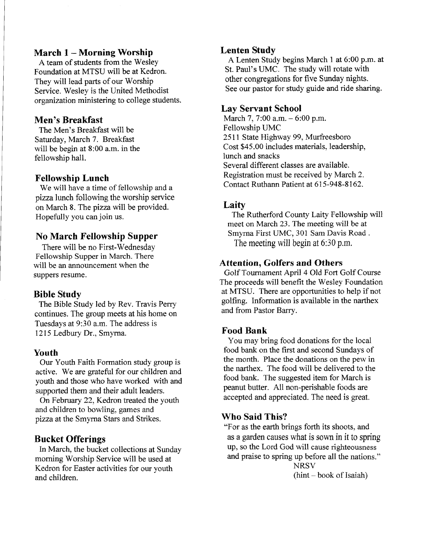#### March 1 - Morning Worship

A team of students from the WesleY Foundation at MTSU will be at Kedron. They will lead parts of our Worship Service. Wesley is the United Methodist organization ministering to college students.

# Men's Breakfast

The Men's Breakfast will be Saturday, March 7. Breakfast will be begin at 8:00 a.m. in the fellowship hall.

#### Fellowship Lunch

We will have a time of fellowship and a pizzalunch following the worship service on March 8. The pizza will be provided. Hopefully you can join us.

# No March Fellowship Supper

There will be no First-Wednesday Fellowship Supper in March. There will be an announcement when the suppers resume.

# Bible Study

The Bible Study led by Rev. Travis Perry continues. The group meets at his home on Tuesdays at 9:30 a.m. The address is 1215 Ledbury Dr., Smyrna.

#### Youth

Our Youth Faith Formation study group is active. We are grateful for our children and youth and those who have worked with and supported them and their adult leaders.

On February 22, Kedron treated the youth and children to bowling, games and pizza at the Smyrna Stars and Strikes.

# Bucket Offerings

In March, the bucket coliections at Sunday morning Worship Service will be used at Kedron for Easter activities for our youth and children.

#### Lenten Study

A Lenten Study begins March 1 at 6:00 p.m. at St. Paul's UMC. The study will rotate with other congregations for flve Sunday nights. See our pastor for study guide and ride sharing.

#### Lay Servant School

March 7, 7:00 a.m. - 6:00 p.m. Fellowship LIMC 2511 State Highway 99, Murfreesboro Cost \$45.00 includes materials, leadership, lunch and snacks Several different classes are available. Registration must be received by March 2. Contact Ruthann Patient at 615-948-8162.

# Laity

The Rutherford County Laity Fellowship will meet on March 23. The meeting will be at Smyrna First UMC, 301 Sam Davis Road . The meeting will begin at 6:30 p.m.

## Attention, Golfers and Others

Golf Tournament April 4 Old Fort Golf Course The proceeds will benefit the Wesley Foundation at MTSU. There are opportunities to help if not golfing. Information is available in the narthex and from Pastor Barry.

# Food Bank

You may bring food donations for the local food bank on the frst and second Sundays of the month. Place the donations on the pew in the narthex. The food will be delivered to the food bank. The suggested item for March is peanut butter. All non-perishable foods are accepted and appreciated. The need is great.

#### Who Said This?

"For as the earth brings forth its shoots, and as a garden causes what is sown in it to spring up, so the Lord God will cause righteousness and praise to spring up before all the nations." **NRSV** 

 $(hint - book of Isaiah)$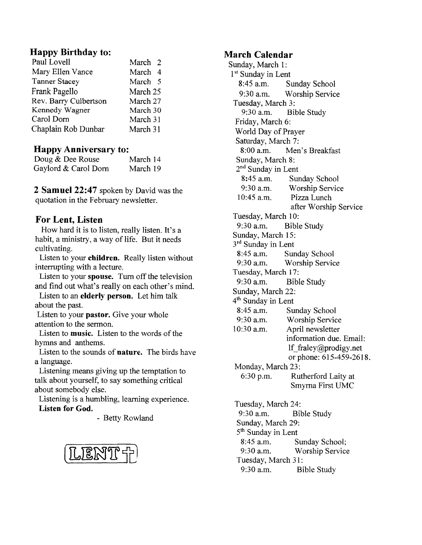## Happy Birthday to:

| March 2  |  |
|----------|--|
| March 4  |  |
| March 5  |  |
| March 25 |  |
| March 27 |  |
| March 30 |  |
| March 31 |  |
| March 31 |  |
|          |  |

## Happy Anniversary to:

| - - -                |          |
|----------------------|----------|
| Doug & Dee Rouse     | March 14 |
| Gaylord & Carol Dorn | March 19 |

2 Samuel 22:47 spoken by David was the quotation in the February newsletter.

# For Lent, Listen

How hard it is to listen, really listen. It's a habit, a ministry, a way of life. But it needs cultivating.

Listen to your children. Really listen without interrupting with a lecture.

Listen to your **spouse.** Turn off the television and find out what's really on each other's mind.

Listen to an elderly person. Let him talk about the past.

Listen to your pastor. Give your whole attention to the sermon.

Listen to music. Listen to the words of the hymns and anthems.

Listen to the sounds of nature. The birds have a language.

Listening means giving up the ternptation to talk about yourself, to say something critical about somebody else.

Listening is a humbling, learning experience. Listen for God.

- Betty Rowland



#### March Calendar

Sunday, March 1: 1<sup>st</sup> Sunday in Lent 8:45 a.m. Sunday School 9:30 a.m. Worship Service Tuesday, March 3: 9:30 a.m. Bible Study Friday, March 6: World Day of Prayer Saturday, March 7: 8:00 a.m. Men's Breakfast Sunday, March 8: 2<sup>nd</sup> Sunday in Lent 8:45 a.m. Sunday School 9:30 a.m. Worship Service 10:45 a.m. Pizza Lunch after Worship Service Tuesday, March 10: 9:30 a.m. Bible Study Sunday, March 15: 3<sup>rd</sup> Sunday in Lent 8:45 a.m. Sunday School 9:30 a.m. Worship Service Tuesday, March 17: 9:30 a.m. Bible Study Sunday, March 22: 4<sup>th</sup> Sunday in Lent 8:45 a.m. Sunday School 9:30 a.m. Worship Service 10:30 a.m. April newsletter information due. Emaii: lf fraley@prodigy.net or phone: 615-459-2618. Monday, March 23: 6:30 p.m. Rutherford Laity at Smyma First UMC Tuesday, March 24: 9:30 a.m. Bible Study Sunday, March 29: 5<sup>th</sup> Sunday in Lent 8:45 a.m. 9:30 a.m. Sunday School;  $\text{LERVTP}$   $\uparrow$  9:30 a.m. Worship Service Tuesday, March 31: 9:30 a.m. Bible Study